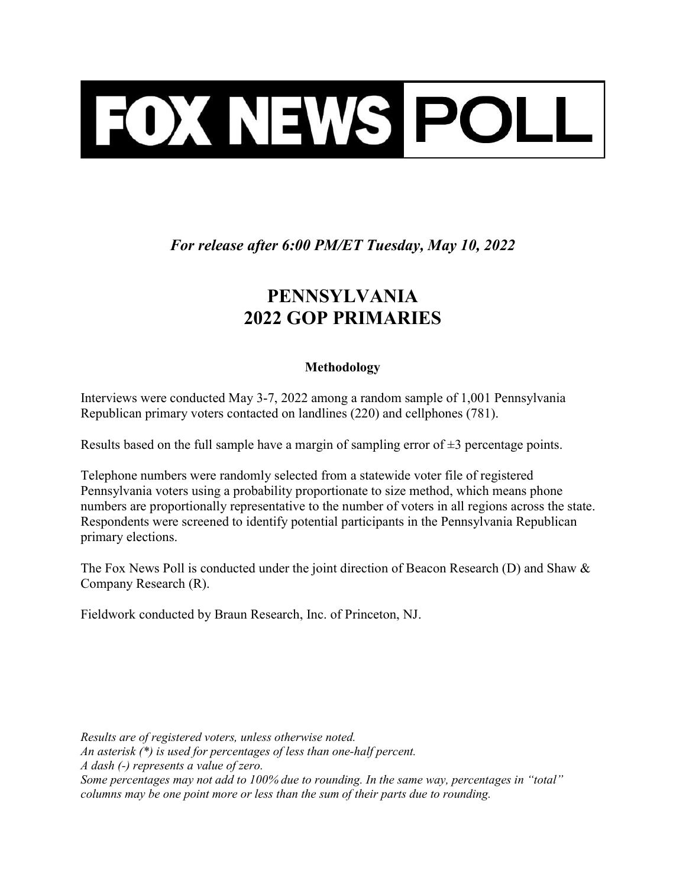

For release after 6:00 PM/ET Tuesday, May 10, 2022

## PENNSYLVANIA 2022 GOP PRIMARIES

## Methodology

Interviews were conducted May 3-7, 2022 among a random sample of 1,001 Pennsylvania Republican primary voters contacted on landlines (220) and cellphones (781).

Results based on the full sample have a margin of sampling error of  $\pm 3$  percentage points.

Telephone numbers were randomly selected from a statewide voter file of registered Pennsylvania voters using a probability proportionate to size method, which means phone numbers are proportionally representative to the number of voters in all regions across the state. Respondents were screened to identify potential participants in the Pennsylvania Republican primary elections.

The Fox News Poll is conducted under the joint direction of Beacon Research (D) and Shaw & Company Research (R).

Fieldwork conducted by Braun Research, Inc. of Princeton, NJ.

Results are of registered voters, unless otherwise noted. An asterisk (\*) is used for percentages of less than one-half percent. A dash (-) represents a value of zero. Some percentages may not add to 100% due to rounding. In the same way, percentages in "total" columns may be one point more or less than the sum of their parts due to rounding.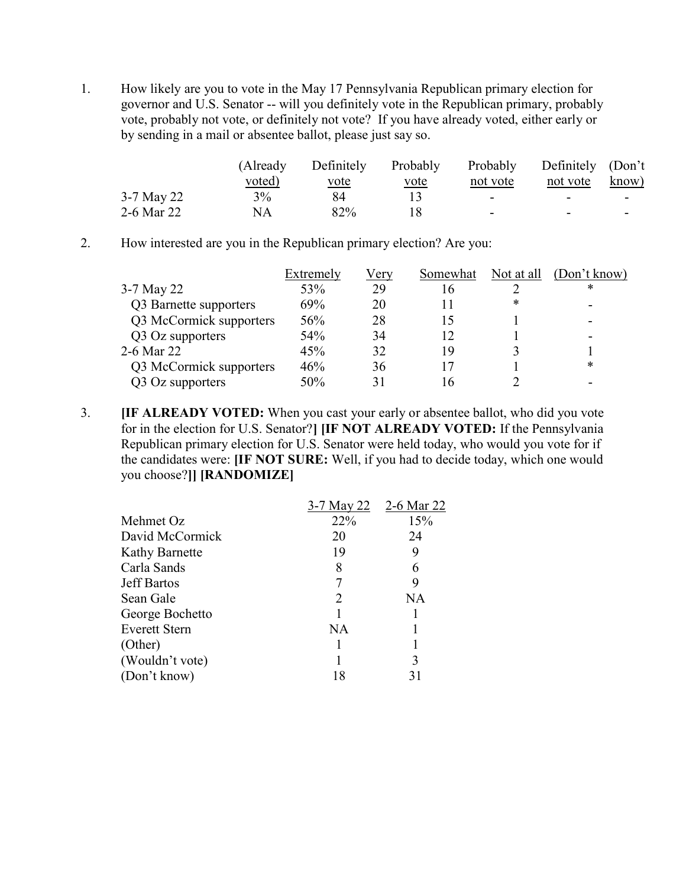1. How likely are you to vote in the May 17 Pennsylvania Republican primary election for governor and U.S. Senator -- will you definitely vote in the Republican primary, probably vote, probably not vote, or definitely not vote? If you have already voted, either early or by sending in a mail or absentee ballot, please just say so.

|            | (Already)     | Definitely  | Probably    | Probably | Definitely (Don't        |       |
|------------|---------------|-------------|-------------|----------|--------------------------|-------|
|            | <u>voted)</u> | <u>vote</u> | <u>vote</u> | not vote | not vote                 | know) |
| 3-7 May 22 | 3%            | 84          |             | ۰        |                          | -     |
| 2-6 Mar 22 | NA            | 82%         |             | -        | $\overline{\phantom{0}}$ |       |

2. How interested are you in the Republican primary election? Are you:

|                         | Extremely | Very | Somewhat | Not at all | (Don't know) |
|-------------------------|-----------|------|----------|------------|--------------|
| 3-7 May 22              | 53%       | 29   | 16       |            | *            |
| Q3 Barnette supporters  | 69%       | 20   |          | *          |              |
| Q3 McCormick supporters | 56%       | 28   | 15       |            |              |
| Q3 Oz supporters        | 54%       | 34   | 12       |            |              |
| 2-6 Mar 22              | 45%       | 32   | 19       |            |              |
| Q3 McCormick supporters | 46%       | 36   | 17       |            | *            |
| Q3 Oz supporters        | 50%       | 31   | I6       |            |              |

3. **IF ALREADY VOTED:** When you cast your early or absentee ballot, who did you vote for in the election for U.S. Senator?] [IF NOT ALREADY VOTED: If the Pennsylvania Republican primary election for U.S. Senator were held today, who would you vote for if the candidates were: [IF NOT SURE: Well, if you had to decide today, which one would you choose?]] [RANDOMIZE]

|                       | 3-7 May 22                  | 2-6 Mar 22 |
|-----------------------|-----------------------------|------------|
| Mehmet Oz             | 22%                         | 15%        |
| David McCormick       | 20                          | 24         |
| <b>Kathy Barnette</b> | 19                          | 9          |
| Carla Sands           | 8                           |            |
| <b>Jeff Bartos</b>    |                             | 9          |
| Sean Gale             | $\mathcal{D}_{\mathcal{L}}$ | NA         |
| George Bochetto       |                             |            |
| <b>Everett Stern</b>  | <b>NA</b>                   |            |
| (Other)               |                             |            |
| (Wouldn't vote)       |                             | 3          |
| (Don't know)          | 18                          |            |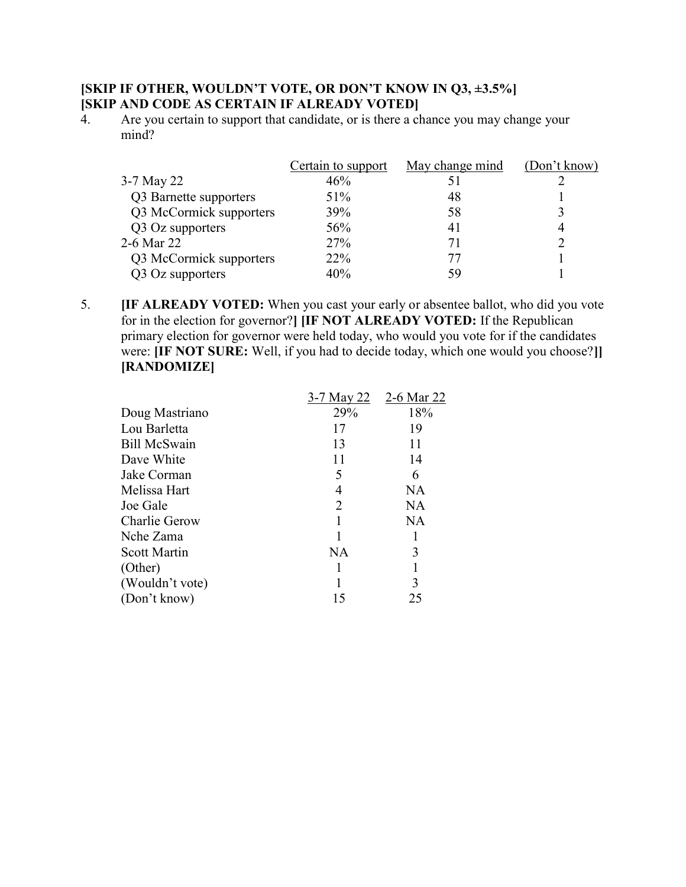## [SKIP IF OTHER, WOULDN'T VOTE, OR DON'T KNOW IN Q3, ±3.5%] [SKIP AND CODE AS CERTAIN IF ALREADY VOTED]

4. Are you certain to support that candidate, or is there a chance you may change your mind?

|                         | Certain to support | May change mind | (Don't know) |
|-------------------------|--------------------|-----------------|--------------|
| 3-7 May 22              | 46%                |                 |              |
| Q3 Barnette supporters  | 51%                | 48              |              |
| Q3 McCormick supporters | 39%                | 58              |              |
| Q3 Oz supporters        | 56%                | 41              | 4            |
| 2-6 Mar 22              | <b>27%</b>         | 71              |              |
| Q3 McCormick supporters | 22 <sup>%</sup>    | 77              |              |
| Q3 Oz supporters        | 40%                | 59              |              |

5. [IF ALREADY VOTED: When you cast your early or absentee ballot, who did you vote for in the election for governor?] [IF NOT ALREADY VOTED: If the Republican primary election for governor were held today, who would you vote for if the candidates were: **IF NOT SURE:** Well, if you had to decide today, which one would you choose? [RANDOMIZE]

|                      | 3-7 May 22 | 2-6 Mar 22 |
|----------------------|------------|------------|
| Doug Mastriano       | 29%        | 18%        |
| Lou Barletta         | 17         | 19         |
| <b>Bill McSwain</b>  | 13         | 11         |
| Dave White           | 11         | 14         |
| Jake Corman          | 5          | 6          |
| Melissa Hart         | 4          | NA         |
| Joe Gale             | 2          | <b>NA</b>  |
| <b>Charlie Gerow</b> |            | <b>NA</b>  |
| Nche Zama            |            |            |
| <b>Scott Martin</b>  | <b>NA</b>  | 3          |
| (Other)              |            |            |
| (Wouldn't vote)      |            | 3          |
| (Don't know)         | 15         | 25         |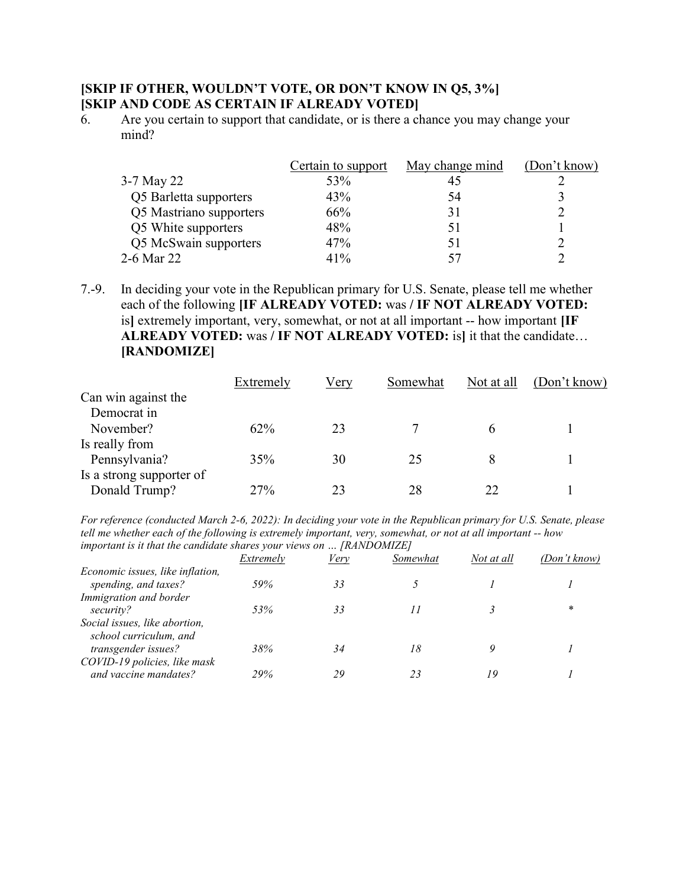## [SKIP IF OTHER, WOULDN'T VOTE, OR DON'T KNOW IN Q5, 3%] [SKIP AND CODE AS CERTAIN IF ALREADY VOTED]

 $\ddot{6}$ . Are you certain to support that candidate, or is there a chance you may change your mind?

|                         | Certain to support | May change mind | (Don't know) |
|-------------------------|--------------------|-----------------|--------------|
| 3-7 May 22              | 53%                | 45              |              |
| Q5 Barletta supporters  | 43%                | 54              |              |
| Q5 Mastriano supporters | 66%                | 31              |              |
| Q5 White supporters     | 48%                | 51              |              |
| Q5 McSwain supporters   | 47%                | 51              |              |
| 2-6 Mar 22              | 41%                | 57              |              |

7.-9. In deciding your vote in the Republican primary for U.S. Senate, please tell me whether each of the following **IIF ALREADY VOTED:** was / **IF NOT ALREADY VOTED:** is] extremely important, very, somewhat, or not at all important -- how important [IF ALREADY VOTED: was / IF NOT ALREADY VOTED: is] it that the candidate... [RANDOMIZE]

|                          | Extremely | Very | Somewhat | Not at all | (Don't know) |
|--------------------------|-----------|------|----------|------------|--------------|
| Can win against the      |           |      |          |            |              |
| Democrat in              |           |      |          |            |              |
| November?                | 62%       | 23   |          | h          |              |
| Is really from           |           |      |          |            |              |
| Pennsylvania?            | 35%       | 30   | 25       |            |              |
| Is a strong supporter of |           |      |          |            |              |
| Donald Trump?            | 27%       | 23   | 28       | 22         |              |

For reference (conducted March 2-6, 2022): In deciding your vote in the Republican primary for U.S. Senate, please tell me whether each of the following is extremely important, very, somewhat, or not at all important -- how important is it that the candidate shares your views on … [RANDOMIZE]

|                                  | <i>Extremely</i> | <b>Very</b> | Somewhat | Not at all | (Don't know) |
|----------------------------------|------------------|-------------|----------|------------|--------------|
| Economic issues, like inflation, |                  |             |          |            |              |
| spending, and taxes?             | 59%              | 33          |          |            |              |
| Immigration and border           |                  |             |          |            |              |
| security?                        | 53%              | 33          |          |            | *            |
| Social issues, like abortion,    |                  |             |          |            |              |
| school curriculum, and           |                  |             |          |            |              |
| transgender issues?              | 38%              | 34          | 18       |            |              |
| COVID-19 policies, like mask     |                  |             |          |            |              |
| and vaccine mandates?            | 29%              | 29          | 23       |            |              |
|                                  |                  |             |          |            |              |